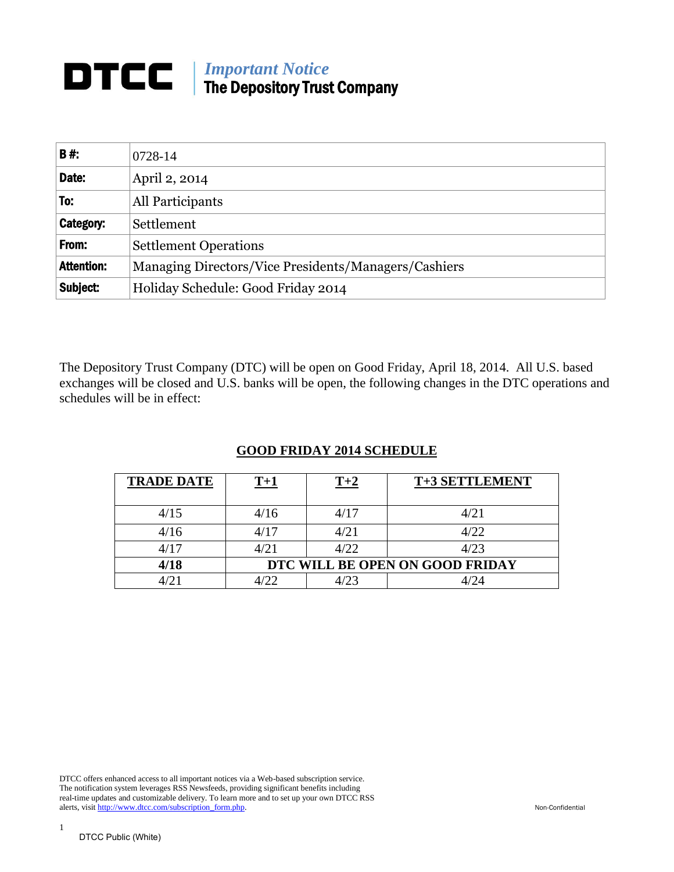# *Important Notice* The Depository Trust Company

| B#:               | 0728-14                                              |  |  |
|-------------------|------------------------------------------------------|--|--|
| Date:             | April 2, 2014                                        |  |  |
| To:               | All Participants                                     |  |  |
| Category:         | Settlement                                           |  |  |
| From:             | <b>Settlement Operations</b>                         |  |  |
| <b>Attention:</b> | Managing Directors/Vice Presidents/Managers/Cashiers |  |  |
| Subject:          | Holiday Schedule: Good Friday 2014                   |  |  |

The Depository Trust Company (DTC) will be open on Good Friday, April 18, 2014. All U.S. based exchanges will be closed and U.S. banks will be open, the following changes in the DTC operations and schedules will be in effect:

## **GOOD FRIDAY 2014 SCHEDULE**

| <b>TRADE DATE</b> | T+1                             | $T+2$ | T+3 SETTLEMENT |
|-------------------|---------------------------------|-------|----------------|
| 4/15              | 4/16                            | 4/17  | 4/21           |
| 4/16              | 4/17                            | 4/21  | 4/22           |
| 4/17              | 4/21                            | 4/22  | 4/23           |
| 4/18              | DTC WILL BE OPEN ON GOOD FRIDAY |       |                |
|                   |                                 | 1/23  |                |

DTCC offers enhanced access to all important notices via a Web-based subscription service. The notification system leverages RSS Newsfeeds, providing significant benefits including real-time updates and customizable delivery. To learn more and to set up your own DTCC RSS alerts, visit http://www.dtcc.com/subscription\_form.php. Non-Confidential

1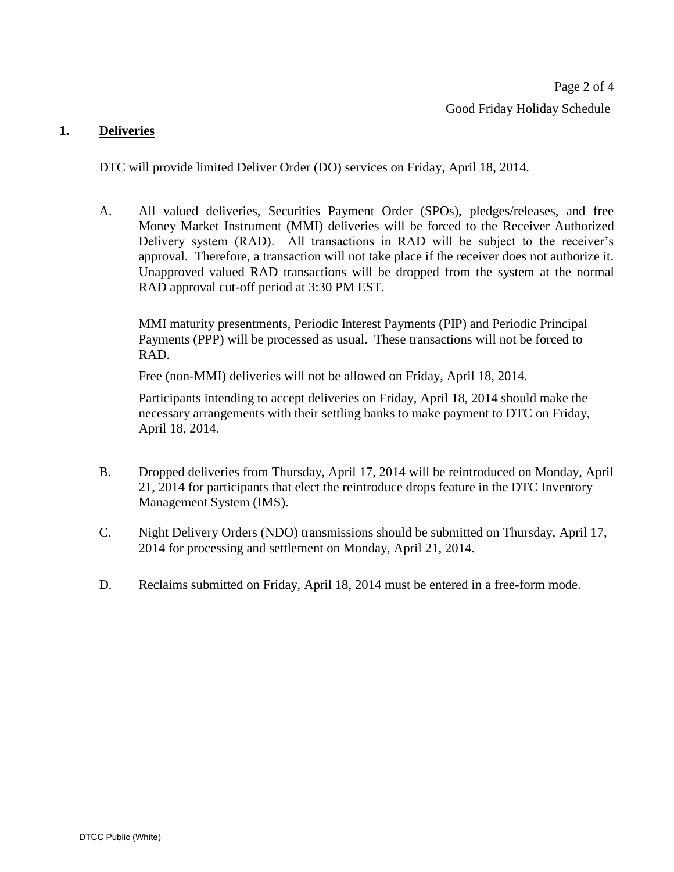#### **1. Deliveries**

DTC will provide limited Deliver Order (DO) services on Friday, April 18, 2014.

A. All valued deliveries, Securities Payment Order (SPOs), pledges/releases, and free Money Market Instrument (MMI) deliveries will be forced to the Receiver Authorized Delivery system (RAD). All transactions in RAD will be subject to the receiver's approval. Therefore, a transaction will not take place if the receiver does not authorize it. Unapproved valued RAD transactions will be dropped from the system at the normal RAD approval cut-off period at 3:30 PM EST.

MMI maturity presentments, Periodic Interest Payments (PIP) and Periodic Principal Payments (PPP) will be processed as usual. These transactions will not be forced to RAD.

Free (non-MMI) deliveries will not be allowed on Friday, April 18, 2014.

Participants intending to accept deliveries on Friday, April 18, 2014 should make the necessary arrangements with their settling banks to make payment to DTC on Friday, April 18, 2014.

- B. Dropped deliveries from Thursday, April 17, 2014 will be reintroduced on Monday, April 21, 2014 for participants that elect the reintroduce drops feature in the DTC Inventory Management System (IMS).
- C. Night Delivery Orders (NDO) transmissions should be submitted on Thursday, April 17, 2014 for processing and settlement on Monday, April 21, 2014.
- D. Reclaims submitted on Friday, April 18, 2014 must be entered in a free-form mode.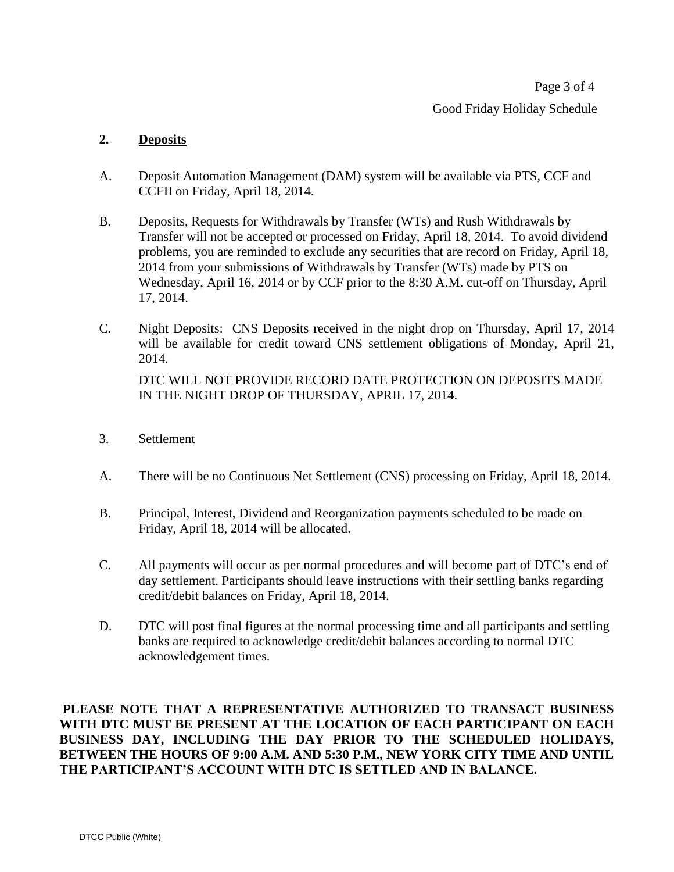Page 3 of 4 Good Friday Holiday Schedule

## **2. Deposits**

- A. Deposit Automation Management (DAM) system will be available via PTS, CCF and CCFII on Friday, April 18, 2014.
- B. Deposits, Requests for Withdrawals by Transfer (WTs) and Rush Withdrawals by Transfer will not be accepted or processed on Friday, April 18, 2014. To avoid dividend problems, you are reminded to exclude any securities that are record on Friday, April 18, 2014 from your submissions of Withdrawals by Transfer (WTs) made by PTS on Wednesday, April 16, 2014 or by CCF prior to the 8:30 A.M. cut-off on Thursday, April 17, 2014.
- C. Night Deposits: CNS Deposits received in the night drop on Thursday, April 17, 2014 will be available for credit toward CNS settlement obligations of Monday, April 21, 2014.

DTC WILL NOT PROVIDE RECORD DATE PROTECTION ON DEPOSITS MADE IN THE NIGHT DROP OF THURSDAY, APRIL 17, 2014.

- 3. Settlement
- A. There will be no Continuous Net Settlement (CNS) processing on Friday, April 18, 2014.
- B. Principal, Interest, Dividend and Reorganization payments scheduled to be made on Friday, April 18, 2014 will be allocated.
- C. All payments will occur as per normal procedures and will become part of DTC's end of day settlement. Participants should leave instructions with their settling banks regarding credit/debit balances on Friday, April 18, 2014.
- D. DTC will post final figures at the normal processing time and all participants and settling banks are required to acknowledge credit/debit balances according to normal DTC acknowledgement times.

**PLEASE NOTE THAT A REPRESENTATIVE AUTHORIZED TO TRANSACT BUSINESS WITH DTC MUST BE PRESENT AT THE LOCATION OF EACH PARTICIPANT ON EACH BUSINESS DAY, INCLUDING THE DAY PRIOR TO THE SCHEDULED HOLIDAYS, BETWEEN THE HOURS OF 9:00 A.M. AND 5:30 P.M., NEW YORK CITY TIME AND UNTIL THE PARTICIPANT'S ACCOUNT WITH DTC IS SETTLED AND IN BALANCE.**